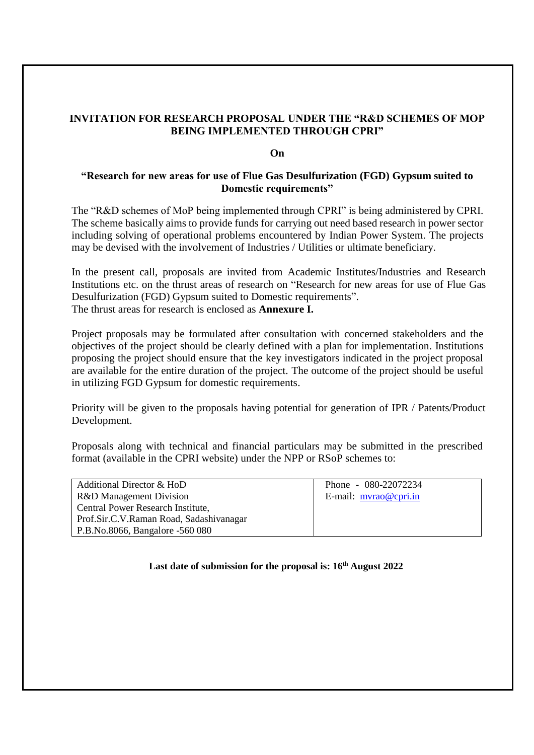## **INVITATION FOR RESEARCH PROPOSAL UNDER THE "R&D SCHEMES OF MOP BEING IMPLEMENTED THROUGH CPRI"**

## **On**

## **"Research for new areas for use of Flue Gas Desulfurization (FGD) Gypsum suited to Domestic requirements"**

The "R&D schemes of MoP being implemented through CPRI" is being administered by CPRI. The scheme basically aims to provide funds for carrying out need based research in power sector including solving of operational problems encountered by Indian Power System. The projects may be devised with the involvement of Industries / Utilities or ultimate beneficiary.

In the present call, proposals are invited from Academic Institutes/Industries and Research Institutions etc. on the thrust areas of research on "Research for new areas for use of Flue Gas Desulfurization (FGD) Gypsum suited to Domestic requirements". The thrust areas for research is enclosed as **Annexure I.**

Project proposals may be formulated after consultation with concerned stakeholders and the objectives of the project should be clearly defined with a plan for implementation. Institutions proposing the project should ensure that the key investigators indicated in the project proposal are available for the entire duration of the project. The outcome of the project should be useful in utilizing FGD Gypsum for domestic requirements.

Priority will be given to the proposals having potential for generation of IPR / Patents/Product Development.

Proposals along with technical and financial particulars may be submitted in the prescribed format (available in the CPRI website) under the NPP or RSoP schemes to:

| Additional Director & HoD               | Phone - 080-22072234       |
|-----------------------------------------|----------------------------|
| R&D Management Division                 | E-mail: $m\nu$ rao@cpri.in |
| Central Power Research Institute,       |                            |
| Prof.Sir.C.V.Raman Road, Sadashivanagar |                            |
| P.B.No.8066, Bangalore -560 080         |                            |

**Last date of submission for the proposal is: 16th August 2022**